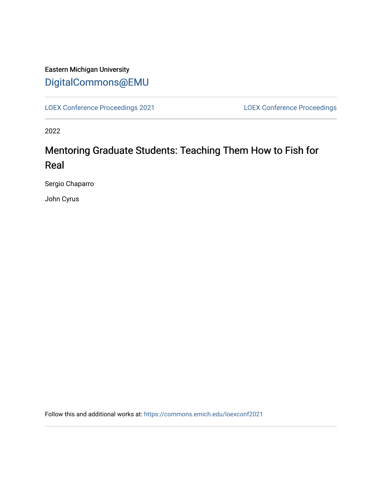## Eastern Michigan University [DigitalCommons@EMU](https://commons.emich.edu/)

[LOEX Conference Proceedings 2021](https://commons.emich.edu/loexconf2021) [LOEX Conference Proceedings](https://commons.emich.edu/loexconf) 

2022

# Mentoring Graduate Students: Teaching Them How to Fish for Real

Sergio Chaparro

John Cyrus

Follow this and additional works at: [https://commons.emich.edu/loexconf2021](https://commons.emich.edu/loexconf2021?utm_source=commons.emich.edu%2Floexconf2021%2F21&utm_medium=PDF&utm_campaign=PDFCoverPages)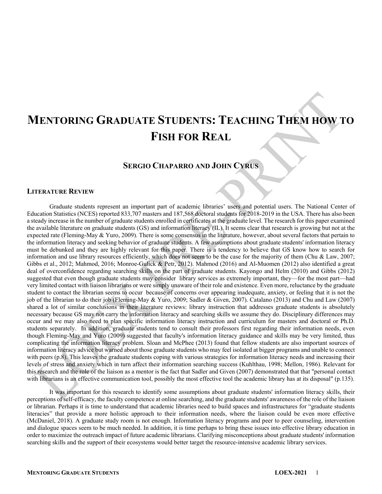# **MENTORING GRADUATE STUDENTS: TEACHING THEM HOW TO FISH FOR REAL**

### **SERGIO CHAPARRO AND JOHN CYRUS**

#### **LITERATURE REVIEW**

Graduate students represent an important part of academic libraries' users and potential users. The National Center of Education Statistics (NCES) reported 833,707 masters and 187,568 doctoral students for 2018-2019 in the USA. There has also been a steady increase in the number of graduate students enrolled in certificates at the graduate level. The research for this paper examined the available literature on graduate students (GS) and information literacy (IL). It seems clear that research is growing but not at the expected rate (Fleming-May  $&$  Yuro, 2009). There is some consensus in the literature, however, about several factors that pertain to the information literacy and seeking behavior of graduate students. A few assumptions about graduate students' information literacy must be debunked and they are highly relevant for this paper. There is a tendency to believe that GS know how to search for information and use library resources efficiently, which does not seem to be the case for the majority of them (Chu & Law, 2007; Gibbs et al., 2012; Mahmod, 2016; Monroe-Gulick & Petr, 2012). Mahmod (2016) and Al-Muomen (2012) also identified a great deal of overconfidence regarding searching skills on the part of graduate students. Kayongo and Helm (2010) and Gibbs (2012) suggested that even though graduate students may consider library services as extremely important, they—for the most part—had very limited contact with liaison librarians or were simply unaware of their role and existence. Even more, reluctance by the graduate student to contact the librarian seems to occur because of concerns over appearing inadequate, anxiety, or feeling that it is not the job of the librarian to do their job (Fleming-May & Yuro, 2009; Sadler & Given, 2007). Catalano (2013) and Chu and Law (2007) shared a lot of similar conclusions in their literature reviews: library instruction that addresses graduate students is absolutely necessary because GS may not carry the information literacy and searching skills we assume they do. Disciplinary differences may occur and we may also need to plan specific information literacy instruction and curriculum for masters and doctoral or Ph.D. students separately. In addition, graduate students tend to consult their professors first regarding their information needs, even though Fleming-May and Yuro (2009) suggested that faculty's information literacy guidance and skills may be very limited, thus complicating the information literacy problem. Sloan and McPhee (2013) found that fellow students are also important sources of information literacy advice but warned about those graduate students who may feel isolated at bigger programs and unable to connect with peers (p.8). This leaves the graduate students coping with various strategies for information literacy needs and increasing their levels of stress and anxiety which in turn affect their information searching success (Kuhlthau, 1998; Mellon, 1986). Relevant for this research and the role of the liaison as a mentor is the fact that Sadler and Given (2007) demonstrated that that "personal contact with librarians is an effective communication tool, possibly the most effective tool the academic library has at its disposal" (p.135).

It was important for this research to identify some assumptions about graduate students' information literacy skills, their perceptions of self-efficacy, the faculty competence at online searching, and the graduate students' awareness of the role of the liaison or librarian. Perhaps it is time to understand that academic libraries need to build spaces and infrastructures for "graduate students literacies" that provide a more holistic approach to their information needs, where the liaison could be even more effective (McDaniel, 2018). A graduate study room is not enough. Information literacy programs and peer to peer counseling, intervention and dialogue spaces seem to be much needed. In addition, it is time perhaps to bring these issues into effective library education in order to maximize the outreach impact of future academic librarians. Clarifying misconceptions about graduate students' information searching skills and the support of their ecosystems would better target the resource-intensive academic library services.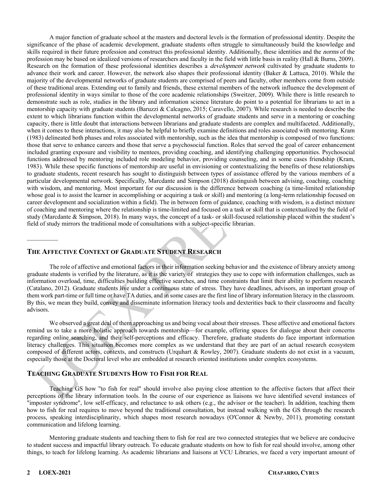A major function of graduate school at the masters and doctoral levels is the formation of professional identity. Despite the significance of the phase of academic development, graduate students often struggle to simultaneously build the knowledge and skills required in their future profession and construct this professional identity. Additionally, these identities and the norms of the profession may be based on idealized versions of researchers and faculty in the field with little basis in reality (Hall & Burns, 2009). Research on the formation of these professional identities describes a *development network* cultivated by graduate students to advance their work and career. However, the network also shapes their professional identity (Baker & Lattuca, 2010). While the majority of the developmental networks of graduate students are comprised of peers and faculty, other members come from outside of these traditional areas. Extending out to family and friends, these external members of the network influence the development of professional identity in ways similar to those of the core academic relationships (Sweitzer, 2009). While there is little research to demonstrate such as role, studies in the library and information science literature do point to a potential for librarians to act in a mentorship capacity with graduate students (Baruzzi & Calcagno, 2015; Caravello, 2007). While research is needed to describe the extent to which librarians function within the developmental networks of graduate students and serve in a mentoring or coaching capacity, there is little doubt that interactions between librarians and graduate students are complex and multifaceted. Additionally, when it comes to these interactions, it may also be helpful to briefly examine definitions and roles associated with mentoring. Kram (1983) delineated both phases and roles associated with mentorship, such as the idea that mentorship is composed of two functions: those that serve to enhance careers and those that serve a psychosocial function. Roles that served the goal of career enhancement included granting exposure and visibility to mentees, providing coaching, and identifying challenging opportunities. Psychosocial functions addressed by mentoring included role modeling behavior, providing counseling, and in some cases friendship (Kram, 1983). While these specific functions of mentorship are useful in envisioning or contextualizing the benefits of these relationships to graduate students, recent research has sought to distinguish between types of assistance offered by the various members of a particular developmental network. Specifically, Marcdante and Simpson (2018) distinguish between advising, coaching, coaching with wisdom, and mentoring. Most important for our discussion is the difference between coaching (a time-limited relationship whose goal is to assist the learner in accomplishing or acquiring a task or skill) and mentoring (a long-term relationship focused on career development and socialization within a field). The in between form of guidance, coaching with wisdom, is a distinct mixture of coaching and mentoring where the relationship is time-limited and focused on a task or skill that is contextualized by the field of study (Marcdante & Simpson, 2018). In many ways, the concept of a task- or skill-focused relationship placed within the student's field of study mirrors the traditional mode of consultations with a subject-specific librarian.

#### **THE AFFECTIVE CONTEXT OF GRADUATE STUDENT RESEARCH**

The role of affective and emotional factors in their information seeking behavior and the existence of library anxiety among graduate students is verified by the literature, as it is the variety of strategies they use to cope with information challenges, such as information overload, time, difficulties building effective searches, and time constraints that limit their ability to perform research (Catalano, 2012). Graduate students live under a continuous state of stress. They have deadlines, advisors, an important group of them work part-time or full time or have TA duties, and in some cases are the first line of library information literacy in the classroom. By this, we mean they build, convey and disseminate information literacy tools and dexterities back to their classrooms and faculty advisors.

We observed a great deal of them approaching us and being vocal about their stresses. These affective and emotional factors remind us to take a more holistic approach towards mentorship—for example, offering spaces for dialogue about their concerns regarding online searching, and their self-perceptions and efficacy. Therefore, graduate students do face important information literacy challenges. This situation becomes more complex as we understand that they are part of an actual research ecosystem composed of different actors, contexts, and constructs (Urquhart & Rowley, 2007). Graduate students do not exist in a vacuum, especially those at the Doctoral level who are embedded at research oriented institutions under complex ecosystems.

#### **TEACHING GRADUATE STUDENTS HOW TO FISH FOR REAL**

Teaching GS how "to fish for real" should involve also paying close attention to the affective factors that affect their perceptions of the library information tools. In the course of our experience as liaisons we have identified several instances of "imposter syndrome", low self-efficacy, and reluctance to ask others (e.g., the advisor or the teacher). In addition, teaching them how to fish for real requires to move beyond the traditional consultation, but instead walking with the GS through the research process, speaking interdisciplinarity, which shapes most research nowadays (O'Connor & Newby, 2011), promoting constant communication and lifelong learning.

Mentoring graduate students and teaching them to fish for real are two connected strategies that we believe are conducive to student success and impactful library outreach. To educate graduate students on how to fish for real should involve, among other things, to teach for lifelong learning. As academic librarians and liaisons at VCU Libraries, we faced a very important amount of

 $\mathcal{L}$  . The set of  $\mathcal{L}$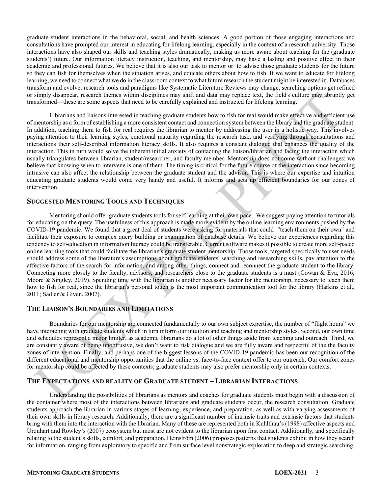graduate student interactions in the behavioral, social, and health sciences. A good portion of those engaging interactions and consultations have prompted our interest in educating for lifelong learning, especially in the context of a research university. Those interactions have also shaped our skills and teaching styles dramatically, making us more aware about teaching for the (graduate students') future. Our information literacy instruction, teaching, and mentorship, may have a lasting and positive effect in their academic and professional futures. We believe that it is also our task to mentor or to advise those graduate students for the future so they can fish for themselves when the situation arises, and educate others about how to fish. If we want to educate for lifelong learning, we need to connect what we do in the classroom context to what future research the student might be interested in. Databases transform and evolve, research tools and paradigms like Systematic Literature Reviews may change, searching options get refined or simply disappear, research themes within disciplines may shift and data may replace text, the field's culture may abruptly get transformed—these are some aspects that need to be carefully explained and instructed for lifelong learning.

Librarians and liaisons interested in teaching graduate students how to fish for real would make effective and efficient use of mentorship as a form of establishing a more consistent contact and connection system between the library and the graduate student. In addition, teaching them to fish for real requires the librarian to mentor by addressing the user in a holistic way. This involves paying attention to their learning styles, emotional maturity regarding the research task, and verifying through consultations and interactions their self-described information literacy skills. It also requires a constant dialogue that enhances the quality of the interaction. This in turn would solve the inherent initial anxiety of contacting the liaison/librarian and facing the interaction which usually triangulates between librarian, student/researcher, and faculty member. Mentorship does not come without challenges: we believe that knowing when to intervene is one of them. The timing is critical for the future course of the interaction since becoming intrusive can also affect the relationship between the graduate student and the advisor. This is where our expertise and intuition educating graduate students would come very handy and useful. It informs and sets up efficient boundaries for our zones of intervention.

#### **SUGGESTED MENTORING TOOLS AND TECHNIQUES**

Mentoring should offer graduate students tools for self-learning at their own pace. We suggest paying attention to tutorials for educating on the query. The usefulness of this approach is made more evident by the online learning environments pushed by the COVID-19 pandemic. We found that a great deal of students were asking for materials that could "teach them on their own" and facilitate their exposure to complex query building or examination of database details. We believe our experiences regarding this tendency to self-education in information literacy could be transferable. Current software makes it possible to create more self-paced online learning tools that could facilitate the librarian's graduate student mentorship. Those tools, targeted specifically to user needs should address some of the literature's assumptions about graduate students' searching and researching skills, pay attention to the affective factors of the search for information, and among other things, connect and reconnect the graduate student to the library. Connecting more closely to the faculty, advisors, and researchers close to the graduate students is a must (Cowan & Eva, 2016; Moore & Singley, 2019). Spending time with the librarian is another necessary factor for the mentorship, necessary to teach them how to fish for real, since the librarian's personal touch is the most important communication tool for the library (Harkins et al., 2011; Sadler & Given, 2007).

#### **THE LIAISON'S BOUNDARIES AND LIMITATIONS**

Boundaries for our mentorship are connected fundamentally to our own subject expertise, the number of "flight hours" we have interacting with graduate students which in turn inform our intuition and teaching and mentorship styles. Second, our own time and schedules represent a major limiter, as academic librarians do a lot of other things aside from teaching and outreach. Third, we are constantly aware of being unobtrusive, we don't want to risk dialogue and we are fully aware and respectful of the the faculty zones of intervention. Finally, and perhaps one of the biggest lessons of the COVID-19 pandemic has been our recognition of the different educational and mentorship opportunities that the online vs. face-to-face context offer to our outreach. Our comfort zones for mentorship could be affected by these contexts; graduate students may also prefer mentorship only in certain contexts.

#### **THE EXPECTATIONS AND REALITY OF GRADUATE STUDENT – LIBRARIAN INTERACTIONS**

Understanding the possibilities of librarians as mentors and coaches for graduate students must begin with a discussion of the container where most of the interactions between librarians and graduate students occur, the research consultation. Graduate students approach the librarian in various stages of learning, experience, and preparation, as well as with varying assessments of their own skills in library research. Additionally, there are a significant number of intrinsic traits and extrinsic factors that students bring with them into the interaction with the librarian. Many of these are represented both in Kuhlthau's (1998) affective aspects and Urquhart and Rowley's (2007) ecosystem but most are not evident to the librarian upon first contact. Additionally, and specifically relating to the student's skills, comfort, and preparation, Heinström (2006) proposes patterns that students exhibit in how they search for information, ranging from exploratory to specific and from surface level nonstrategic exploration to deep and strategic searching.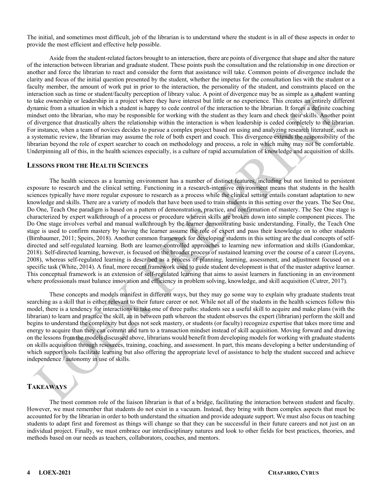The initial, and sometimes most difficult, job of the librarian is to understand where the student is in all of these aspects in order to provide the most efficient and effective help possible.

Aside from the student-related factors brought to an interaction, there are points of divergence that shape and alter the nature of the interaction between librarian and graduate student. These points push the consultation and the relationship in one direction or another and force the librarian to react and consider the form that assistance will take. Common points of divergence include the clarity and focus of the initial question presented by the student, whether the impetus for the consultation lies with the student or a faculty member, the amount of work put in prior to the interaction, the personality of the student, and constraints placed on the interaction such as time or student/faculty perception of library value. A point of divergence may be as simple as a student wanting to take ownership or leadership in a project where they have interest but little or no experience. This creates an entirely different dynamic from a situation in which a student is happy to cede control of the interaction to the librarian. It forces a definite coaching mindset onto the librarian, who may be responsible for working with the student as they learn and check their skills. Another point of divergence that drastically alters the relationship within the interaction is when leadership is ceded completely to the librarian. For instance, when a team of novices decides to pursue a complex project based on using and analyzing research literature, such as a systematic review, the librarian may assume the role of both expert and coach. This divergence extends the responsibility of the librarian beyond the role of expert searcher to coach on methodology and process, a role in which many may not be comfortable. Underpinning all of this, in the health sciences especially, is a culture of rapid accumulation of knowledge and acquisition of skills.

#### **LESSONS FROM THE HEALTH SCIENCES**

The health sciences as a learning environment has a number of distinct features, including but not limited to persistent exposure to research and the clinical setting. Functioning in a research-intensive environment means that students in the health sciences typically have more regular exposure to research as a process while the clinical setting entails constant adaptation to new knowledge and skills. There are a variety of models that have been used to train students in this setting over the years. The See One, Do One, Teach One paradigm is based on a pattern of demonstration, practice, and confirmation of mastery. The See One stage is characterized by expert walkthrough of a process or procedure wherein skills are broken down into simple component pieces. The Do One stage involves verbal and manual walkthrough by the learner demonstrating basic understanding. Finally, the Teach One stage is used to confirm mastery by having the learner assume the role of expert and pass their knowledge on to other students (Birnbaumer, 2011; Speirs, 2018). Another common framework for developing students in this setting are the dual concepts of selfdirected and self-regulated learning. Both are learner-controlled approaches to learning new information and skills (Gandomkar, 2018). Self-directed learning, however, is focused on the broader process of sustained learning over the course of a career (Loyens, 2008), whereas self-regulated learning is described as a process of planning, learning, assessment, and adjustment focused on a specific task (White, 2014). A final, more recent framework used to guide student development is that of the master adaptive learner. This conceptual framework is an extension of self-regulated learning that aims to assist learners in functioning in an environment where professionals must balance innovation and efficiency in problem solving, knowledge, and skill acquisition (Cutrer, 2017).

These concepts and models manifest in different ways, but they may go some way to explain why graduate students treat searching as a skill that is either relevant to their future career or not. While not all of the students in the health sciences follow this model, there is a tendency for interactions to take one of three paths: students see a useful skill to acquire and make plans (with the librarian) to learn and practice the skill, an in between path whereon the student observes the expert (librarian) perform the skill and begins to understand the complexity but does not seek mastery, or students (or faculty) recognize expertise that takes more time and energy to acquire than they can commit and turn to a transaction mindset instead of skill acquisition. Moving forward and drawing on the lessons from the models discussed above, librarians would benefit from developing models for working with graduate students on skills acquisition through resources, training, coaching, and assessment. In part, this means developing a better understanding of which support tools facilitate learning but also offering the appropriate level of assistance to help the student succeed and achieve independence / autonomy in use of skills.

### **TAKEAWAYS**

The most common role of the liaison librarian is that of a bridge, facilitating the interaction between student and faculty. However, we must remember that students do not exist in a vacuum. Instead, they bring with them complex aspects that must be accounted for by the librarian in order to both understand the situation and provide adequate support. We must also focus on teaching students to adapt first and foremost as things will change so that they can be successful in their future careers and not just on an individual project. Finally, we must embrace our interdisciplinary natures and look to other fields for best practices, theories, and methods based on our needs as teachers, collaborators, coaches, and mentors.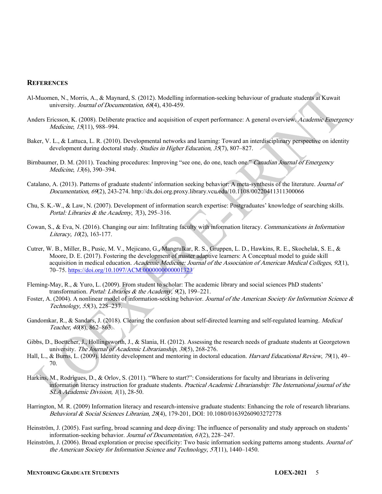#### **REFERENCES**

- Al-Muomen, N., Morris, A., & Maynard, S. (2012). Modelling information-seeking behaviour of graduate students at Kuwait university. Journal of Documentation, 68(4), 430-459.
- Anders Ericsson, K. (2008). Deliberate practice and acquisition of expert performance: A general overview. Academic Emergency Medicine, 15(11), 988–994.
- Baker, V. L., & Lattuca, L. R. (2010). Developmental networks and learning: Toward an interdisciplinary perspective on identity development during doctoral study. Studies in Higher Education, 35(7), 807–827.
- Birnbaumer, D. M. (2011). Teaching procedures: Improving "see one, do one, teach one." Canadian Journal of Emergency Medicine, 13(6), 390–394.
- Catalano, A. (2013). Patterns of graduate students' information seeking behavior: A meta-synthesis of the literature. Journal of Documentation, 69(2), 243-274. http://dx.doi.org.proxy.library.vcu.edu/10.1108/00220411311300066
- Chu, S. K.-W., & Law, N. (2007). Development of information search expertise: Postgraduates' knowledge of searching skills. Portal: Libraries & the Academy,  $(73)$ , 295-316.
- Cowan, S., & Eva, N. (2016). Changing our aim: Infiltrating faculty with information literacy. Communications in Information Literacy,  $10(2)$ , 163-177.
- Cutrer, W. B., Miller, B., Pusic, M. V., Mejicano, G., Mangrulkar, R. S., Gruppen, L. D., Hawkins, R. E., Skochelak, S. E., & Moore, D. E. (2017). Fostering the development of master adaptive learners: A Conceptual model to guide skill acquisition in medical education. Academic Medicine: Journal of the Association of American Medical Colleges, 92(1), 70–75.<https://doi.org/10.1097/ACM.0000000000001323>
- Fleming-May, R., & Yuro, L. (2009). From student to scholar: The academic library and social sciences PhD students' transformation. Portal: Libraries & the Academy, 9(2), 199-221.
- Foster, A. (2004). A nonlinear model of information-seeking behavior. Journal of the American Society for Information Science & Technology, 55(3), 228–237.
- Gandomkar, R., & Sandars, J. (2018). Clearing the confusion about self-directed learning and self-regulated learning. *Medical* Teacher,  $40(8)$ ,  $862-863$ .
- Gibbs, D., Boettcher, J., Hollingsworth, J., & Slania, H. (2012). Assessing the research needs of graduate students at Georgetown university. The Journal of Academic Librarianship, 38(5), 268-276.
- Hall, L., & Burns, L. (2009). Identity development and mentoring in doctoral education. Harvard Educational Review, 79(1), 49– 70.
- Harkins, M., Rodrigues, D., & Orlov, S. (2011). "Where to start?": Considerations for faculty and librarians in delivering information literacy instruction for graduate students. Practical Academic Librarianship: The International journal of the SLA Academic Division, 1(1), 28-50.
- Harrington, M. R. (2009) Information literacy and research-intensive graduate students: Enhancing the role of research librarians. Behavioral & Social Sciences Librarian, 28(4), 179-201, DOI: 10.1080/01639260903272778
- Heinström, J. (2005). Fast surfing, broad scanning and deep diving: The influence of personality and study approach on students' information-seeking behavior. Journal of Documentation, 61(2), 228–247.
- Heinström, J. (2006). Broad exploration or precise specificity: Two basic information seeking patterns among students. Journal of the American Society for Information Science and Technology, 57(11), 1440–1450.